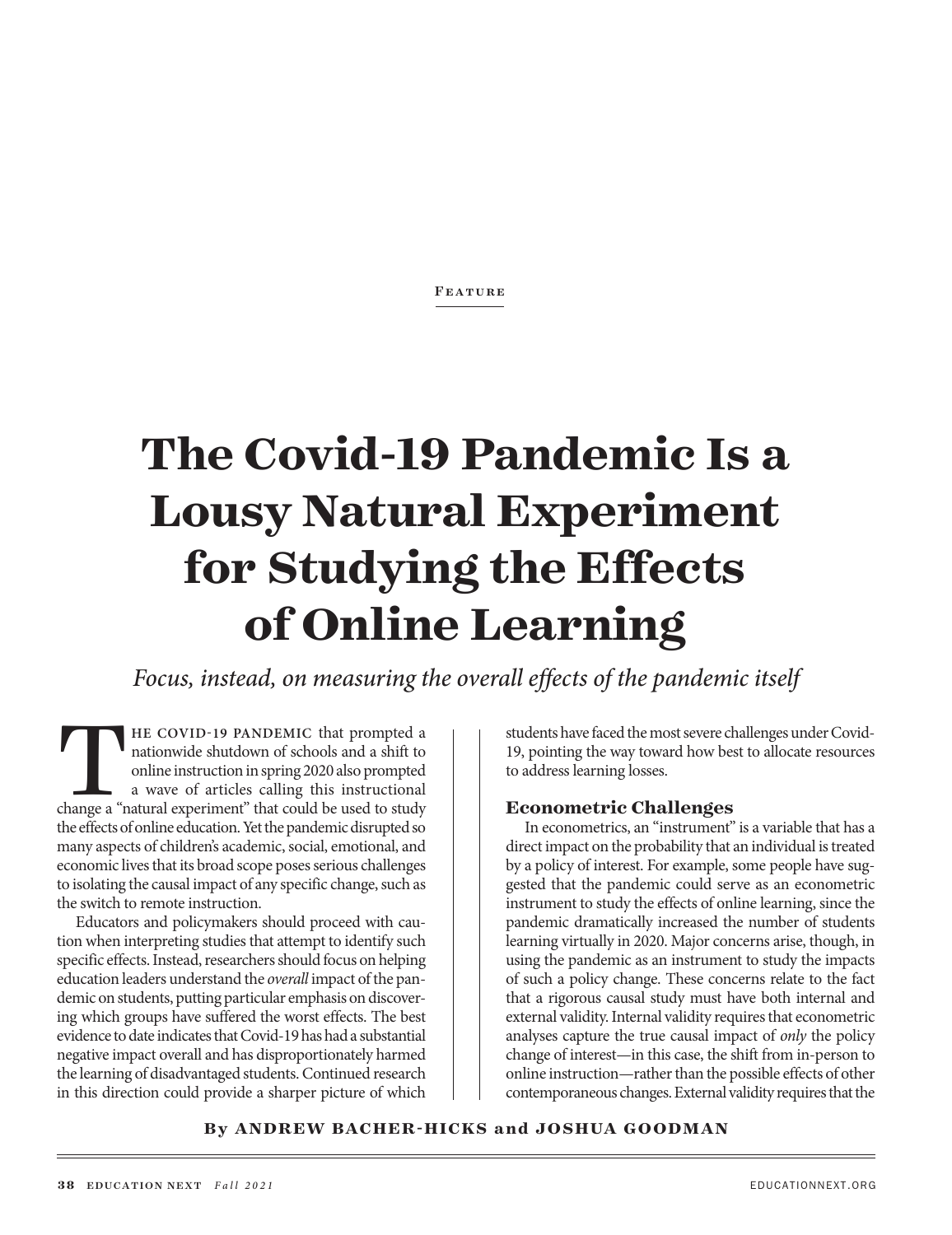**FEATURE** 

# **The Covid-19 Pandemic Is a Lousy Natural Experiment for Studying the Effects of Online Learning**

*Focus, instead, on measuring the overall effects of the pandemic itself*

THE COVID-19 PANDEMIC that prompted a nationwide shutdown of schools and a shift to online instruction in spring 2020 also prompted a wave of articles calling this instructional change a "natural experiment" that could be nationwide shutdown of schools and a shift to online instruction in spring 2020 also prompted a wave of articles calling this instructional the effects of online education. Yet the pandemic disrupted so many aspects of children's academic, social, emotional, and economic lives that its broad scope poses serious challenges to isolating the causal impact of any specific change, such as the switch to remote instruction.

Educators and policymakers should proceed with caution when interpreting studies that attempt to identify such specific effects. Instead, researchers should focus on helping education leaders understand the *overall* impact of the pandemic on students, putting particular emphasis on discovering which groups have suffered the worst effects. The best evidence to date indicates that Covid-19 has had a substantial negative impact overall and has disproportionately harmed the learning of disadvantaged students. Continued research in this direction could provide a sharper picture of which

students have faced the most severe challenges under Covid-19, pointing the way toward how best to allocate resources to address learning losses.

#### **Econometric Challenges**

In econometrics, an "instrument" is a variable that has a direct impact on the probability that an individual is treated by a policy of interest. For example, some people have suggested that the pandemic could serve as an econometric instrument to study the effects of online learning, since the pandemic dramatically increased the number of students learning virtually in 2020. Major concerns arise, though, in using the pandemic as an instrument to study the impacts of such a policy change. These concerns relate to the fact that a rigorous causal study must have both internal and external validity. Internal validity requires that econometric analyses capture the true causal impact of *only* the policy change of interest—in this case, the shift from in-person to online instruction—rather than the possible effects of other contemporaneous changes. External validity requires that the

#### **By ANDREW BACHER-HICKS and JOSHUA GOODMAN**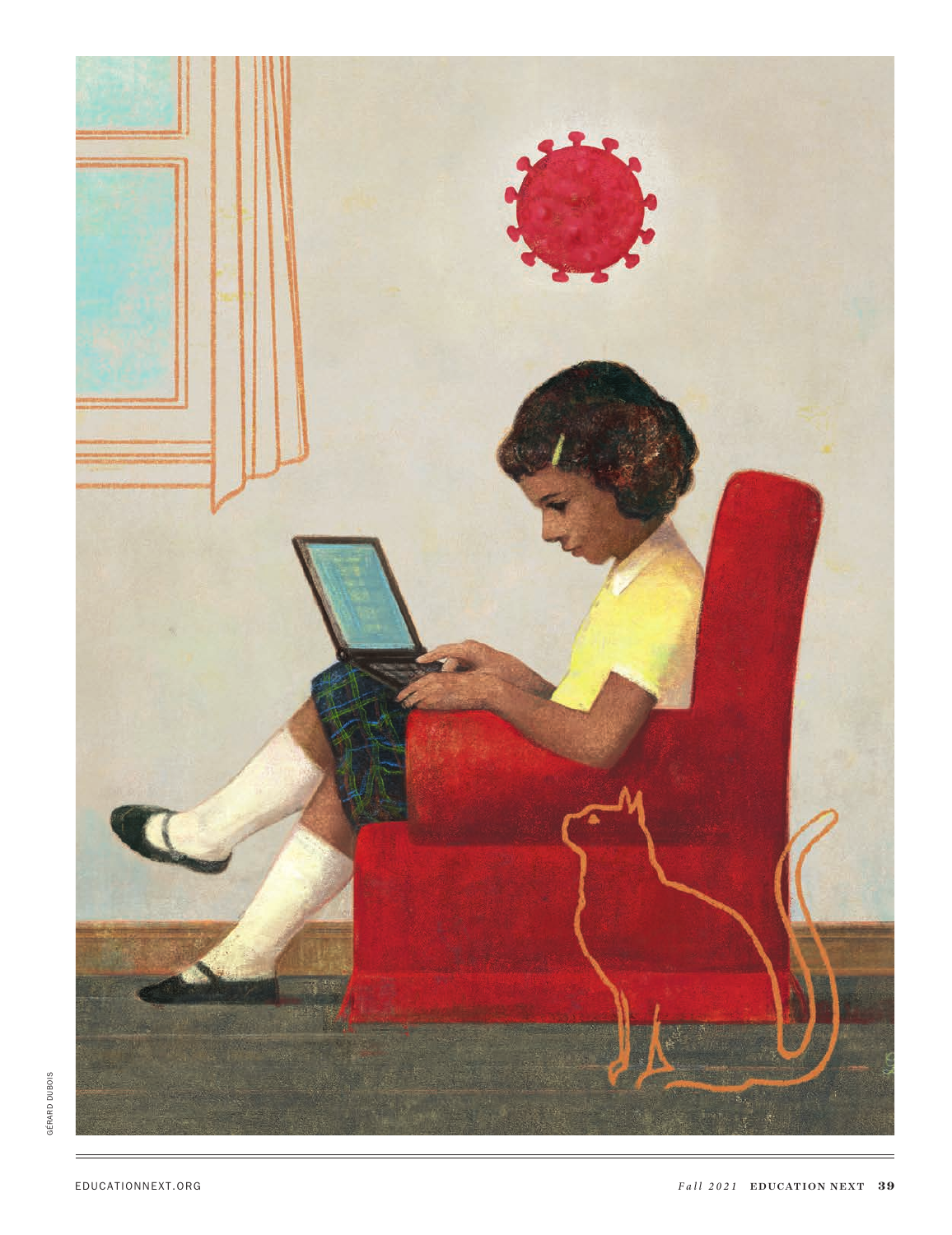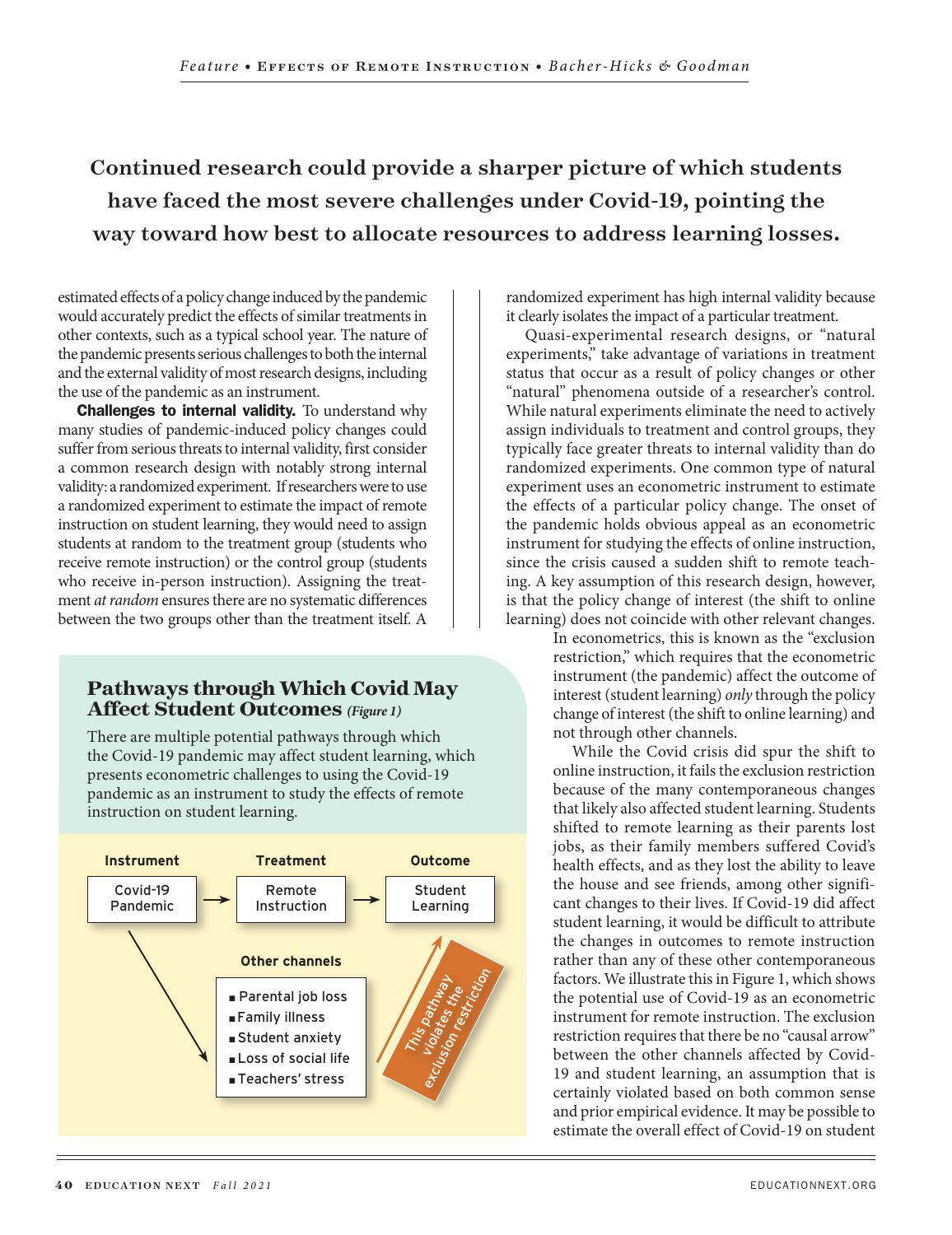## Continued research could provide a sharper picture of which students have faced the most severe challenges under Covid-19, pointing the way toward how best to allocate resources to address learning losses.

estimated effects of a policy change induced by the pandemic would accurately predict the effects of similar treatments in other contexts, such as a typical school year. The nature of the pandemic presents serious challenges to both the internal and the external validity of most research designs, including the use of the pandemic as an instrument.

Challenges to internal validity. To understand why many studies of pandemic-induced policy changes could suffer from serious threats to internal validity, first consider a common research design with notably strong internal validity: a randomized experiment. If researchers were to use a randomized experiment to estimate the impact of remote instruction on student learning, they would need to assign students at random to the treatment group (students who receive remote instruction) or the control group (students who receive in-person instruction). Assigning the treatment *at random* ensures there are no systematic differences between the two groups other than the treatment itself. A

#### **Pathways through Which Covid May Affect Student Outcomes** *(Figure 1)*

There are multiple potential pathways through which the Covid-19 pandemic may affect student learning, which presents econometric challenges to using the Covid-19 pandemic as an instrument to study the effects of remote instruction on student learning.



randomized experiment has high internal validity because it clearly isolates the impact of a particular treatment.

Quasi-experimental research designs, or "natural experiments," take advantage of variations in treatment status that occur as a result of policy changes or other "natural" phenomena outside of a researcher's control. While natural experiments eliminate the need to actively assign individuals to treatment and control groups, they typically face greater threats to internal validity than do randomized experiments. One common type of natural experiment uses an econometric instrument to estimate the effects of a particular policy change. The onset of the pandemic holds obvious appeal as an econometric instrument for studying the effects of online instruction, since the crisis caused a sudden shift to remote teaching. A key assumption of this research design, however, is that the policy change of interest (the shift to online learning) does not coincide with other relevant changes.  $\begin{array}{|c|c|c|c|}\n\hline\n\end{array}$   $\begin{array}{|c|c|c|}\n\hline\n\end{array}$  ii

In econometrics, this is known as the "exclusion restriction," which requires that the econometric instrument (the pandemic) affect the outcome of interest (student learning) *only* through the policy change of interest (the shift to online learning) and not through other channels.

While the Covid crisis did spur the shift to online instruction, it fails the exclusion restriction because of the many contemporaneous changes that likely also affected student learning. Students shifted to remote learning as their parents lost jobs, as their family members suffered Covid's health effects, and as they lost the ability to leave the house and see friends, among other significant changes to their lives. If Covid-19 did affect student learning, it would be difficult to attribute the changes in outcomes to remote instruction rather than any of these other contemporaneous factors. We illustrate this in Figure 1, which shows the potential use of Covid-19 as an econometric instrument for remote instruction. The exclusion restriction requires that there be no "causal arrow" between the other channels affected by Covid-19 and student learning, an assumption that is certainly violated based on both common sense and prior empirical evidence. It may be possible to estimate the overall effect of Covid-19 on student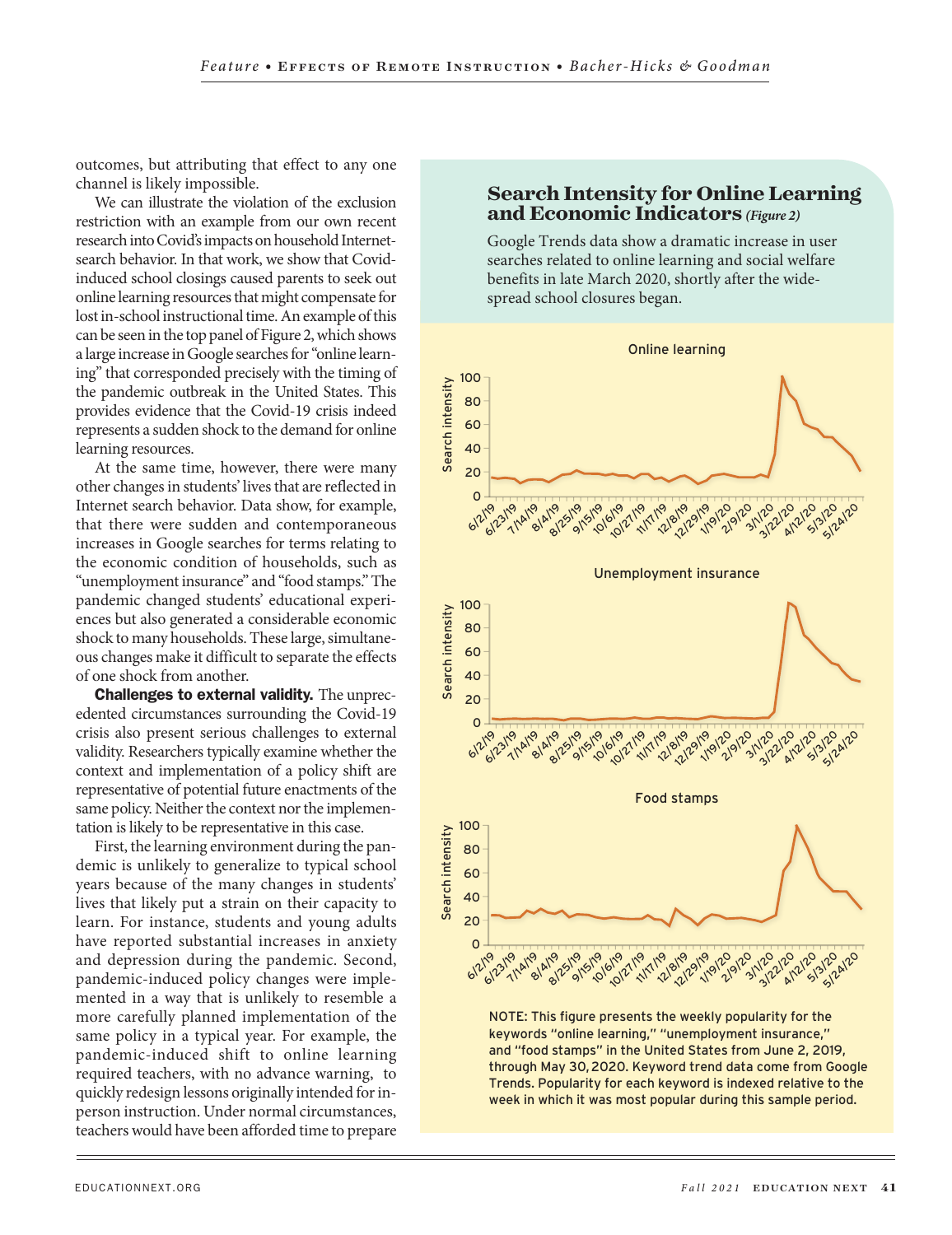outcomes, but attributing that effect to any one channel is likely impossible.

We can illustrate the violation of the exclusion restriction with an example from our own recent research into Covid's impacts on household Internetsearch behavior. In that work, we show that Covidinduced school closings caused parents to seek out online learning resources that might compensate for lost in-school instructional time. An example of this can be seen in the top panel of Figure 2, which shows a large increase in Google searches for "online learning" that corresponded precisely with the timing of the pandemic outbreak in the United States. This provides evidence that the Covid-19 crisis indeed represents a sudden shock to the demand for online learning resources.

At the same time, however, there were many other changes in students' lives that are reflected in Internet search behavior. Data show, for example, that there were sudden and contemporaneous increases in Google searches for terms relating to the economic condition of households, such as "unemployment insurance" and "food stamps." The pandemic changed students' educational experiences but also generated a considerable economic shock to many households. These large, simultaneous changes make it difficult to separate the effects of one shock from another.

Challenges to external validity. The unprecedented circumstances surrounding the Covid-19 crisis also present serious challenges to external validity. Researchers typically examine whether the context and implementation of a policy shift are representative of potential future enactments of the same policy. Neither the context nor the implementation is likely to be representative in this case.

First, the learning environment during the pandemic is unlikely to generalize to typical school years because of the many changes in students' lives that likely put a strain on their capacity to learn. For instance, students and young adults have reported substantial increases in anxiety and depression during the pandemic. Second, pandemic-induced policy changes were implemented in a way that is unlikely to resemble a more carefully planned implementation of the same policy in a typical year. For example, the pandemic-induced shift to online learning required teachers, with no advance warning, to quickly redesign lessons originally intended for inperson instruction. Under normal circumstances, teachers would have been afforded time to prepare

### **Search Intensity for Online Learning and Economic Indicators** *(Figure 2)*

Google Trends data show a dramatic increase in user searches related to online learning and social welfare benefits in late March 2020, shortly after the widespread school closures began.



through May 30,2020. Keyword trend data come from Google Trends. Popularity for each keyword is indexed relative to the week in which it was most popular during this sample period.